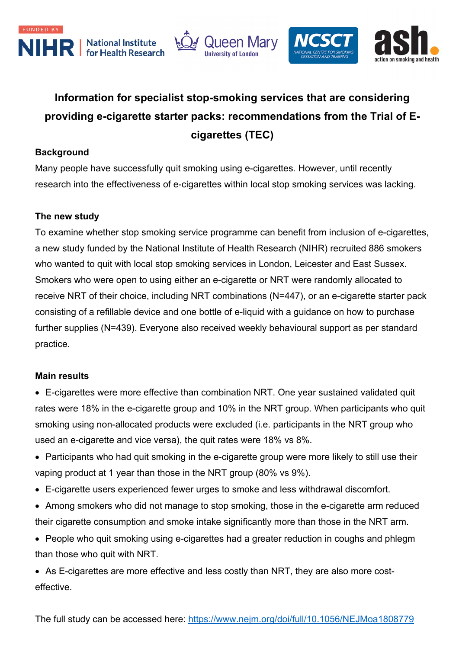



# **Information for specialist stop-smoking services that are considering providing e-cigarette starter packs: recommendations from the Trial of Ecigarettes (TEC)**

### **Background**

Many people have successfully quit smoking using e-cigarettes. However, until recently research into the effectiveness of e-cigarettes within local stop smoking services was lacking.

### **The new study**

To examine whether stop smoking service programme can benefit from inclusion of e-cigarettes, a new study funded by the National Institute of Health Research (NIHR) recruited 886 smokers who wanted to quit with local stop smoking services in London, Leicester and East Sussex. Smokers who were open to using either an e-cigarette or NRT were randomly allocated to receive NRT of their choice, including NRT combinations (N=447), or an e-cigarette starter pack consisting of a refillable device and one bottle of e-liquid with a guidance on how to purchase further supplies (N=439). Everyone also received weekly behavioural support as per standard practice.

### **Main results**

• E-cigarettes were more effective than combination NRT. One year sustained validated quit rates were 18% in the e-cigarette group and 10% in the NRT group. When participants who quit smoking using non-allocated products were excluded (i.e. participants in the NRT group who used an e-cigarette and vice versa), the quit rates were 18% vs 8%.

- Participants who had quit smoking in the e-cigarette group were more likely to still use their vaping product at 1 year than those in the NRT group (80% vs 9%).
- E-cigarette users experienced fewer urges to smoke and less withdrawal discomfort.
- Among smokers who did not manage to stop smoking, those in the e-cigarette arm reduced their cigarette consumption and smoke intake significantly more than those in the NRT arm.
- People who quit smoking using e-cigarettes had a greater reduction in coughs and phlegm than those who quit with NRT.

• As E-cigarettes are more effective and less costly than NRT, they are also more costeffective.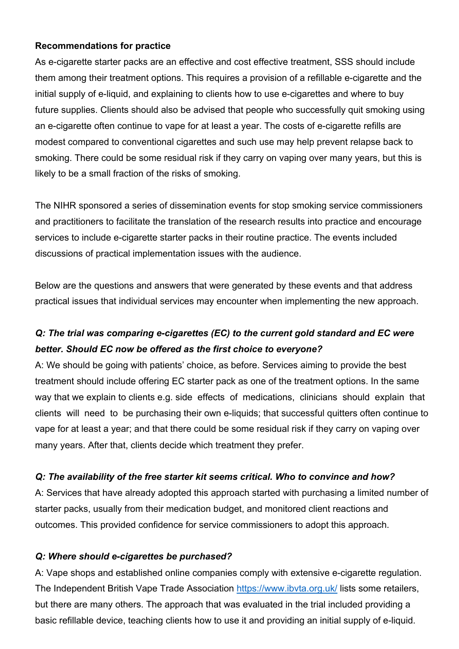#### **Recommendations for practice**

As e-cigarette starter packs are an effective and cost effective treatment, SSS should include them among their treatment options. This requires a provision of a refillable e-cigarette and the initial supply of e-liquid, and explaining to clients how to use e-cigarettes and where to buy future supplies. Clients should also be advised that people who successfully quit smoking using an e-cigarette often continue to vape for at least a year. The costs of e-cigarette refills are modest compared to conventional cigarettes and such use may help prevent relapse back to smoking. There could be some residual risk if they carry on vaping over many years, but this is likely to be a small fraction of the risks of smoking.

The NIHR sponsored a series of dissemination events for stop smoking service commissioners and practitioners to facilitate the translation of the research results into practice and encourage services to include e-cigarette starter packs in their routine practice. The events included discussions of practical implementation issues with the audience.

Below are the questions and answers that were generated by these events and that address practical issues that individual services may encounter when implementing the new approach.

# *Q: The trial was comparing e-cigarettes (EC) to the current gold standard and EC were better. Should EC now be offered as the first choice to everyone?*

A: We should be going with patients' choice, as before. Services aiming to provide the best treatment should include offering EC starter pack as one of the treatment options. In the same way that we explain to clients e.g. side effects of medications, clinicians should explain that clients will need to be purchasing their own e-liquids; that successful quitters often continue to vape for at least a year; and that there could be some residual risk if they carry on vaping over many years. After that, clients decide which treatment they prefer.

#### *Q: The availability of the free starter kit seems critical. Who to convince and how?*

A: Services that have already adopted this approach started with purchasing a limited number of starter packs, usually from their medication budget, and monitored client reactions and outcomes. This provided confidence for service commissioners to adopt this approach.

### *Q: Where should e-cigarettes be purchased?*

A: Vape shops and established online companies comply with extensive e-cigarette regulation. The Independent British Vape Trade Association https://www.ibvta.org.uk/ lists some retailers, but there are many others. The approach that was evaluated in the trial included providing a basic refillable device, teaching clients how to use it and providing an initial supply of e-liquid.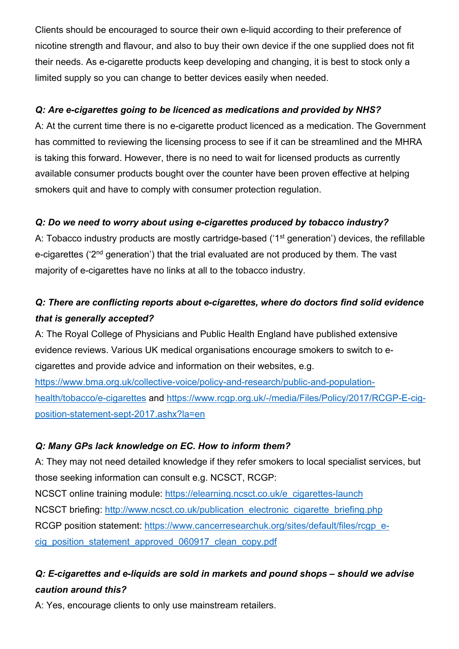Clients should be encouraged to source their own e-liquid according to their preference of nicotine strength and flavour, and also to buy their own device if the one supplied does not fit their needs. As e-cigarette products keep developing and changing, it is best to stock only a limited supply so you can change to better devices easily when needed.

# *Q: Are e-cigarettes going to be licenced as medications and provided by NHS?*

A: At the current time there is no e-cigarette product licenced as a medication. The Government has committed to reviewing the licensing process to see if it can be streamlined and the MHRA is taking this forward. However, there is no need to wait for licensed products as currently available consumer products bought over the counter have been proven effective at helping smokers quit and have to comply with consumer protection regulation.

# *Q: Do we need to worry about using e-cigarettes produced by tobacco industry?*

A: Tobacco industry products are mostly cartridge-based ('1<sup>st</sup> generation') devices, the refillable e-cigarettes ('2<sup>nd</sup> generation') that the trial evaluated are not produced by them. The vast majority of e-cigarettes have no links at all to the tobacco industry.

# *Q: There are conflicting reports about e-cigarettes, where do doctors find solid evidence that is generally accepted?*

A: The Royal College of Physicians and Public Health England have published extensive evidence reviews. Various UK medical organisations encourage smokers to switch to ecigarettes and provide advice and information on their websites, e.g.

https://www.bma.org.uk/collective-voice/policy-and-research/public-and-populationhealth/tobacco/e-cigarettes and https://www.rcgp.org.uk/-/media/Files/Policy/2017/RCGP-E-cigposition-statement-sept-2017.ashx?la=en

# *Q: Many GPs lack knowledge on EC. How to inform them?*

A: They may not need detailed knowledge if they refer smokers to local specialist services, but those seeking information can consult e.g. NCSCT, RCGP: NCSCT online training module: https://elearning.ncsct.co.uk/e\_cigarettes-launch NCSCT briefing: http://www.ncsct.co.uk/publication\_electronic\_cigarette\_briefing.php RCGP position statement: https://www.cancerresearchuk.org/sites/default/files/rcgp\_ecig\_position\_statement\_approved\_060917\_clean\_copy.pdf

# *Q: E-cigarettes and e-liquids are sold in markets and pound shops – should we advise caution around this?*

A: Yes, encourage clients to only use mainstream retailers.